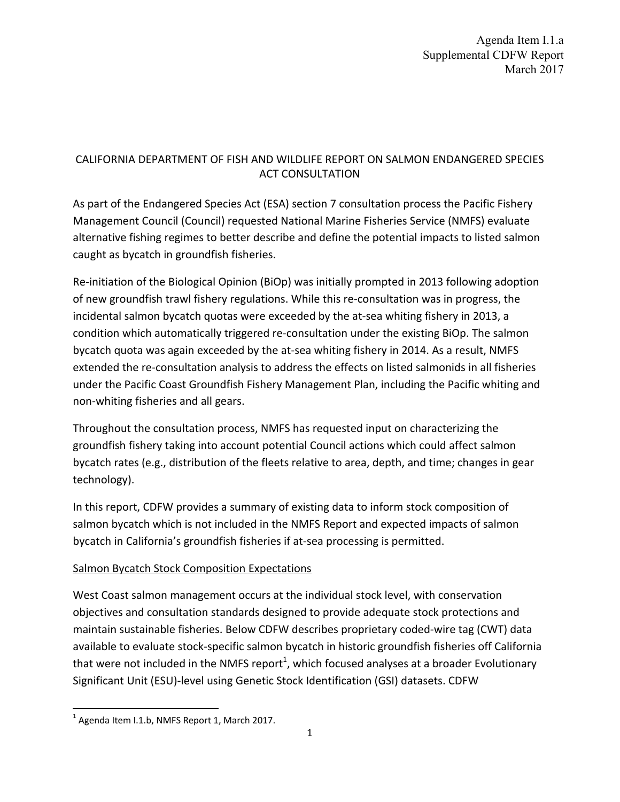## CALIFORNIA DEPARTMENT OF FISH AND WILDLIFE REPORT ON SALMON ENDANGERED SPECIES ACT CONSULTATION

As part of the Endangered Species Act (ESA) section 7 consultation process the Pacific Fishery Management Council (Council) requested National Marine Fisheries Service (NMFS) evaluate alternative fishing regimes to better describe and define the potential impacts to listed salmon caught as bycatch in groundfish fisheries.

Re-initiation of the Biological Opinion (BiOp) was initially prompted in 2013 following adoption of new groundfish trawl fishery regulations. While this re‐consultation was in progress, the incidental salmon bycatch quotas were exceeded by the at‐sea whiting fishery in 2013, a condition which automatically triggered re-consultation under the existing BiOp. The salmon bycatch quota was again exceeded by the at‐sea whiting fishery in 2014. As a result, NMFS extended the re-consultation analysis to address the effects on listed salmonids in all fisheries under the Pacific Coast Groundfish Fishery Management Plan, including the Pacific whiting and non‐whiting fisheries and all gears.

Throughout the consultation process, NMFS has requested input on characterizing the groundfish fishery taking into account potential Council actions which could affect salmon bycatch rates (e.g., distribution of the fleets relative to area, depth, and time; changes in gear technology).

In this report, CDFW provides a summary of existing data to inform stock composition of salmon bycatch which is not included in the NMFS Report and expected impacts of salmon bycatch in California's groundfish fisheries if at‐sea processing is permitted.

# Salmon Bycatch Stock Composition Expectations

West Coast salmon management occurs at the individual stock level, with conservation objectives and consultation standards designed to provide adequate stock protections and maintain sustainable fisheries. Below CDFW describes proprietary coded‐wire tag (CWT) data available to evaluate stock‐specific salmon bycatch in historic groundfish fisheries off California that were not included in the NMFS report<sup>1</sup>, which focused analyses at a broader Evolutionary Significant Unit (ESU)‐level using Genetic Stock Identification (GSI) datasets. CDFW

 $1$  Agenda Item I.1.b, NMFS Report 1, March 2017.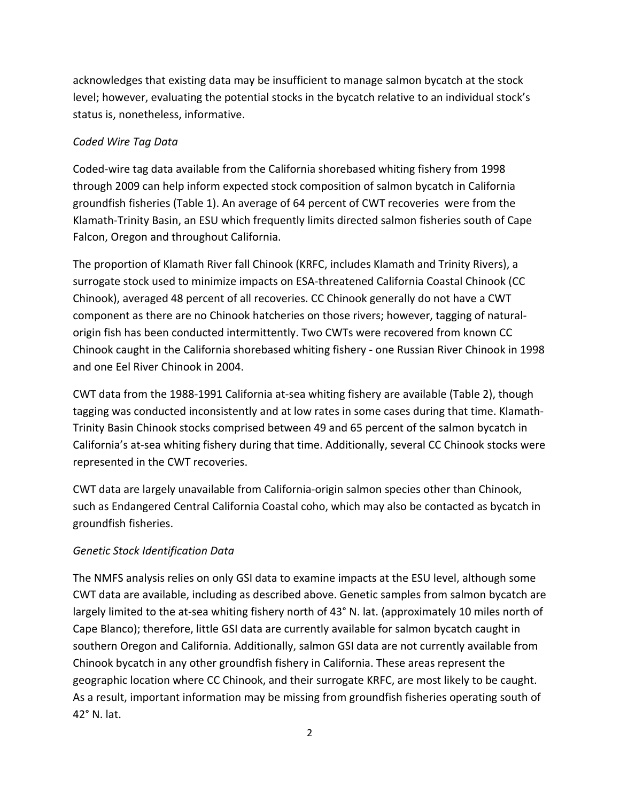acknowledges that existing data may be insufficient to manage salmon bycatch at the stock level; however, evaluating the potential stocks in the bycatch relative to an individual stock's status is, nonetheless, informative.

### *Coded Wire Tag Data*

Coded‐wire tag data available from the California shorebased whiting fishery from 1998 through 2009 can help inform expected stock composition of salmon bycatch in California groundfish fisheries (Table 1). An average of 64 percent of CWT recoveries were from the Klamath‐Trinity Basin, an ESU which frequently limits directed salmon fisheries south of Cape Falcon, Oregon and throughout California.

The proportion of Klamath River fall Chinook (KRFC, includes Klamath and Trinity Rivers), a surrogate stock used to minimize impacts on ESA‐threatened California Coastal Chinook (CC Chinook), averaged 48 percent of all recoveries. CC Chinook generally do not have a CWT component as there are no Chinook hatcheries on those rivers; however, tagging of natural‐ origin fish has been conducted intermittently. Two CWTs were recovered from known CC Chinook caught in the California shorebased whiting fishery ‐ one Russian River Chinook in 1998 and one Eel River Chinook in 2004.

CWT data from the 1988‐1991 California at‐sea whiting fishery are available (Table 2), though tagging was conducted inconsistently and at low rates in some cases during that time. Klamath‐ Trinity Basin Chinook stocks comprised between 49 and 65 percent of the salmon bycatch in California's at‐sea whiting fishery during that time. Additionally, several CC Chinook stocks were represented in the CWT recoveries.

CWT data are largely unavailable from California‐origin salmon species other than Chinook, such as Endangered Central California Coastal coho, which may also be contacted as bycatch in groundfish fisheries.

# *Genetic Stock Identification Data*

The NMFS analysis relies on only GSI data to examine impacts at the ESU level, although some CWT data are available, including as described above. Genetic samples from salmon bycatch are largely limited to the at-sea whiting fishery north of 43° N. lat. (approximately 10 miles north of Cape Blanco); therefore, little GSI data are currently available for salmon bycatch caught in southern Oregon and California. Additionally, salmon GSI data are not currently available from Chinook bycatch in any other groundfish fishery in California. These areas represent the geographic location where CC Chinook, and their surrogate KRFC, are most likely to be caught. As a result, important information may be missing from groundfish fisheries operating south of 42° N. lat.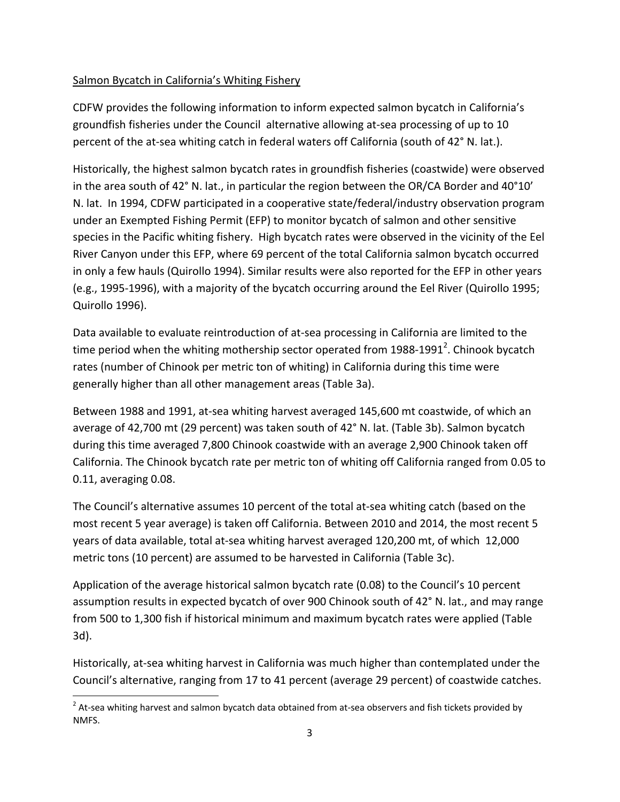#### Salmon Bycatch in California's Whiting Fishery

CDFW provides the following information to inform expected salmon bycatch in California's groundfish fisheries under the Council alternative allowing at‐sea processing of up to 10 percent of the at-sea whiting catch in federal waters off California (south of 42° N. lat.).

Historically, the highest salmon bycatch rates in groundfish fisheries (coastwide) were observed in the area south of 42° N. lat., in particular the region between the OR/CA Border and 40°10' N. lat. In 1994, CDFW participated in a cooperative state/federal/industry observation program under an Exempted Fishing Permit (EFP) to monitor bycatch of salmon and other sensitive species in the Pacific whiting fishery. High bycatch rates were observed in the vicinity of the Eel River Canyon under this EFP, where 69 percent of the total California salmon bycatch occurred in only a few hauls (Quirollo 1994). Similar results were also reported for the EFP in other years (e.g., 1995‐1996), with a majority of the bycatch occurring around the Eel River (Quirollo 1995; Quirollo 1996).

Data available to evaluate reintroduction of at-sea processing in California are limited to the time period when the whiting mothership sector operated from 1988-1991<sup>2</sup>. Chinook bycatch rates (number of Chinook per metric ton of whiting) in California during this time were generally higher than all other management areas (Table 3a).

Between 1988 and 1991, at-sea whiting harvest averaged 145,600 mt coastwide, of which an average of 42,700 mt (29 percent) was taken south of 42° N. lat. (Table 3b). Salmon bycatch during this time averaged 7,800 Chinook coastwide with an average 2,900 Chinook taken off California. The Chinook bycatch rate per metric ton of whiting off California ranged from 0.05 to 0.11, averaging 0.08.

The Council's alternative assumes 10 percent of the total at‐sea whiting catch (based on the most recent 5 year average) is taken off California. Between 2010 and 2014, the most recent 5 years of data available, total at‐sea whiting harvest averaged 120,200 mt, of which 12,000 metric tons (10 percent) are assumed to be harvested in California (Table 3c).

Application of the average historical salmon bycatch rate (0.08) to the Council's 10 percent assumption results in expected bycatch of over 900 Chinook south of 42° N. lat., and may range from 500 to 1,300 fish if historical minimum and maximum bycatch rates were applied (Table 3d).

Historically, at‐sea whiting harvest in California was much higher than contemplated under the Council's alternative, ranging from 17 to 41 percent (average 29 percent) of coastwide catches.

 $2$  At-sea whiting harvest and salmon bycatch data obtained from at-sea observers and fish tickets provided by NMFS.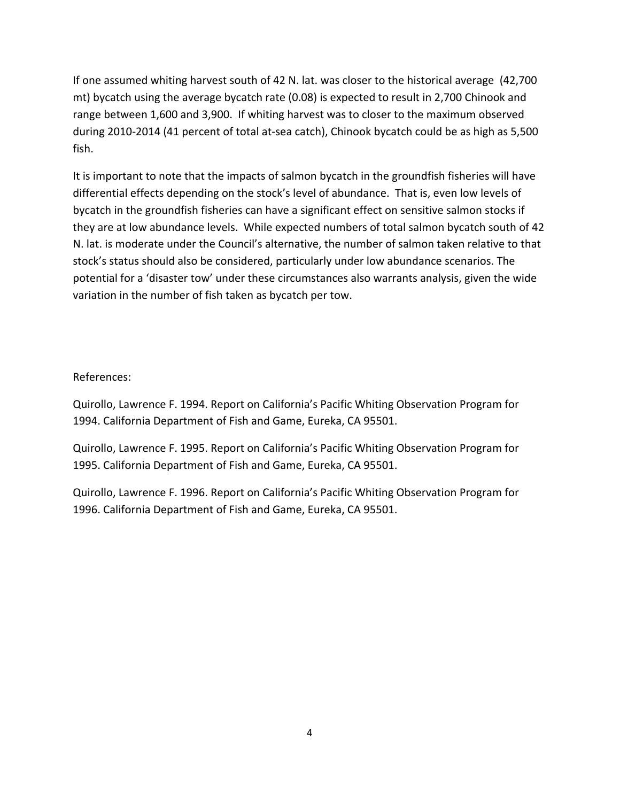If one assumed whiting harvest south of 42 N. lat. was closer to the historical average (42,700 mt) bycatch using the average bycatch rate (0.08) is expected to result in 2,700 Chinook and range between 1,600 and 3,900. If whiting harvest was to closer to the maximum observed during 2010‐2014 (41 percent of total at‐sea catch), Chinook bycatch could be as high as 5,500 fish.

It is important to note that the impacts of salmon bycatch in the groundfish fisheries will have differential effects depending on the stock's level of abundance. That is, even low levels of bycatch in the groundfish fisheries can have a significant effect on sensitive salmon stocks if they are at low abundance levels. While expected numbers of total salmon bycatch south of 42 N. lat. is moderate under the Council's alternative, the number of salmon taken relative to that stock's status should also be considered, particularly under low abundance scenarios. The potential for a 'disaster tow' under these circumstances also warrants analysis, given the wide variation in the number of fish taken as bycatch per tow.

#### References:

Quirollo, Lawrence F. 1994. Report on California's Pacific Whiting Observation Program for 1994. California Department of Fish and Game, Eureka, CA 95501.

Quirollo, Lawrence F. 1995. Report on California's Pacific Whiting Observation Program for 1995. California Department of Fish and Game, Eureka, CA 95501.

Quirollo, Lawrence F. 1996. Report on California's Pacific Whiting Observation Program for 1996. California Department of Fish and Game, Eureka, CA 95501.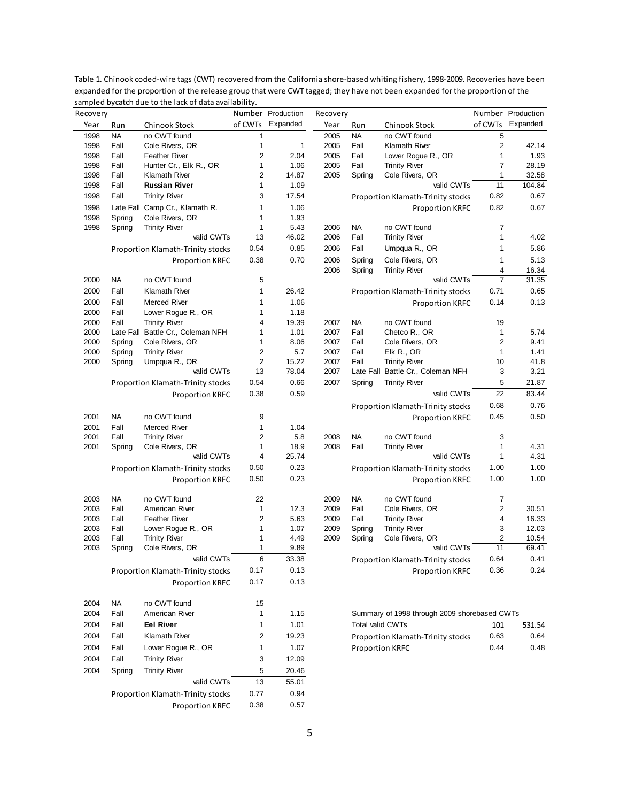|              |              | sampled bycatch due to the lack of data availability. |                     |                               |              |                   |                                              |                |                   |
|--------------|--------------|-------------------------------------------------------|---------------------|-------------------------------|--------------|-------------------|----------------------------------------------|----------------|-------------------|
| Recovery     |              |                                                       |                     | Number Production<br>Expanded | Recovery     |                   |                                              |                | Number Production |
| Year         | Run          | Chinook Stock                                         | of CWTs             |                               | Year         | Run               | Chinook Stock                                | of CWTs        | Expanded          |
| 1998         | <b>NA</b>    | no CWT found                                          | 1                   |                               | 2005         | <b>NA</b>         | no CWT found                                 | 5              |                   |
| 1998<br>1998 | Fall<br>Fall | Cole Rivers, OR<br><b>Feather River</b>               | 1<br>$\overline{2}$ | 1<br>2.04                     | 2005<br>2005 | Fall<br>Fall      | Klamath River<br>Lower Rogue R., OR          | 2<br>1         | 42.14<br>1.93     |
| 1998         | Fall         | Hunter Cr., Elk R., OR                                | 1                   | 1.06                          | 2005         | Fall              | <b>Trinity River</b>                         | 7              | 28.19             |
| 1998         | Fall         | Klamath River                                         | 2                   | 14.87                         | 2005         | Spring            | Cole Rivers, OR                              | 1              | 32.58             |
| 1998         | Fall         | <b>Russian River</b>                                  | 1                   | 1.09                          |              |                   | valid CWTs                                   | 11             | 104.84            |
| 1998         | Fall         | <b>Trinity River</b>                                  | 3                   | 17.54                         |              |                   |                                              | 0.82           | 0.67              |
|              |              |                                                       |                     |                               |              |                   | Proportion Klamath-Trinity stocks            |                |                   |
| 1998         |              | Late Fall Camp Cr., Klamath R.                        | 1                   | 1.06                          |              |                   | <b>Proportion KRFC</b>                       | 0.82           | 0.67              |
| 1998         | Spring       | Cole Rivers, OR                                       | 1                   | 1.93                          |              |                   |                                              |                |                   |
| 1998         | Spring       | <b>Trinity River</b><br>valid CWTs                    | 1<br>13             | 5.43<br>46.02                 | 2006         | <b>NA</b><br>Fall | no CWT found                                 | 7<br>1         |                   |
|              |              |                                                       |                     |                               | 2006         |                   | <b>Trinity River</b>                         |                | 4.02              |
|              |              | Proportion Klamath-Trinity stocks                     | 0.54                | 0.85                          | 2006         | Fall              | Umpqua R., OR                                | 1              | 5.86              |
|              |              | <b>Proportion KRFC</b>                                | 0.38                | 0.70                          | 2006         | Spring            | Cole Rivers, OR                              | 1              | 5.13              |
|              |              |                                                       |                     |                               | 2006         | Spring            | <b>Trinity River</b>                         | 4              | 16.34             |
| 2000         | NA           | no CWT found                                          | 5                   |                               |              |                   | valid CWTs                                   | $\overline{7}$ | 31.35             |
| 2000         | Fall         | <b>Klamath River</b>                                  | 1                   | 26.42                         |              |                   | Proportion Klamath-Trinity stocks            | 0.71           | 0.65              |
| 2000         | Fall         | Merced River                                          | 1                   | 1.06                          |              |                   | Proportion KRFC                              | 0.14           | 0.13              |
| 2000         | Fall         | Lower Rogue R., OR                                    | 1                   | 1.18                          |              |                   |                                              |                |                   |
| 2000         | Fall         | <b>Trinity River</b>                                  | 4                   | 19.39                         | 2007         | NA                | no CWT found                                 | 19             |                   |
| 2000         |              | Late Fall Battle Cr., Coleman NFH                     | 1                   | 1.01                          | 2007         | Fall              | Chetco R., OR                                | 1              | 5.74              |
| 2000         | Spring       | Cole Rivers, OR                                       | 1                   | 8.06                          | 2007         | Fall              | Cole Rivers, OR                              | 2              | 9.41              |
| 2000         | Spring       | <b>Trinity River</b>                                  | $\overline{2}$      | 5.7                           | 2007         | Fall              | Elk R., OR                                   | 1              | 1.41              |
| 2000         | Spring       | Umpqua R., OR                                         | $\overline{2}$      | 15.22                         | 2007         | Fall              | <b>Trinity River</b>                         | 10             | 41.8              |
|              |              | valid CWTs                                            | 13                  | 78.04                         | 2007         |                   | Late Fall Battle Cr., Coleman NFH            | 3              | 3.21              |
|              |              | Proportion Klamath-Trinity stocks                     | 0.54                | 0.66                          | 2007         | Spring            | <b>Trinity River</b>                         | 5              | 21.87             |
|              |              | <b>Proportion KRFC</b>                                | 0.38                | 0.59                          |              |                   | valid CWTs                                   | 22             | 83.44             |
|              |              |                                                       |                     |                               |              |                   | Proportion Klamath-Trinity stocks            | 0.68           | 0.76              |
| 2001         | <b>NA</b>    | no CWT found                                          | 9                   |                               |              |                   | <b>Proportion KRFC</b>                       | 0.45           | 0.50              |
| 2001         | Fall         | Merced River                                          | 1                   | 1.04                          |              |                   |                                              |                |                   |
| 2001         | Fall         | <b>Trinity River</b>                                  | $\overline{2}$      | 5.8                           | 2008         | NA                | no CWT found                                 | 3              |                   |
| 2001         | Spring       | Cole Rivers, OR                                       | 1                   | 18.9                          | 2008         | Fall              | <b>Trinity River</b>                         | 1              | 4.31              |
|              |              | valid CWTs                                            | $\overline{4}$      | 25.74                         |              |                   | valid CWTs                                   | 1              | 4.31              |
|              |              | Proportion Klamath-Trinity stocks                     | 0.50                | 0.23                          |              |                   | Proportion Klamath-Trinity stocks            | 1.00           | 1.00              |
|              |              |                                                       | 0.50                | 0.23                          |              |                   |                                              | 1.00           | 1.00              |
|              |              | <b>Proportion KRFC</b>                                |                     |                               |              |                   | <b>Proportion KRFC</b>                       |                |                   |
| 2003         | NA           | no CWT found                                          | 22                  |                               | 2009         | NA                | no CWT found                                 | 7              |                   |
| 2003         | Fall         | American River                                        | 1                   | 12.3                          | 2009         | Fall              | Cole Rivers, OR                              | 2              | 30.51             |
| 2003         | Fall         | <b>Feather River</b>                                  | $\overline{2}$      | 5.63                          | 2009         | Fall              | <b>Trinity River</b>                         | 4              | 16.33             |
| 2003         | Fall         | Lower Rogue R., OR                                    | 1                   | 1.07                          | 2009         | Spring            | <b>Trinity River</b>                         | 3              | 12.03             |
| 2003         | Fall         | <b>Trinity River</b>                                  | 1                   | 4.49                          | 2009         | Spring            | Cole Rivers, OR                              | $\overline{2}$ | 10.54             |
| 2003         | Spring       | Cole Rivers, OR                                       | 1                   | 9.89                          |              |                   | valid CWTs                                   | 11             | 69.41             |
|              |              | valid CWTs                                            | 6                   | 33.38                         |              |                   | Proportion Klamath-Trinity stocks            | 0.64           | 0.41              |
|              |              |                                                       |                     |                               |              |                   |                                              |                |                   |
|              |              | Proportion Klamath-Trinity stocks                     | 0.17                | 0.13                          |              |                   | <b>Proportion KRFC</b>                       | 0.36           | 0.24              |
|              |              | <b>Proportion KRFC</b>                                | 0.17                | 0.13                          |              |                   |                                              |                |                   |
|              |              |                                                       |                     |                               |              |                   |                                              |                |                   |
| 2004         | <b>NA</b>    | no CWT found                                          | 15                  |                               |              |                   |                                              |                |                   |
| 2004         | Fall         | American River                                        | 1                   | 1.15                          |              |                   | Summary of 1998 through 2009 shorebased CWTs |                |                   |
| 2004         | Fall         | <b>Eel River</b>                                      | 1                   | 1.01                          |              | Total valid CWTs  |                                              | 101            | 531.54            |
| 2004         | Fall         | Klamath River                                         | 2                   | 19.23                         |              |                   | Proportion Klamath-Trinity stocks            | 0.63           | 0.64              |
| 2004         | Fall         | Lower Rogue R., OR                                    | 1                   | 1.07                          |              |                   | Proportion KRFC                              | 0.44           | 0.48              |
| 2004         | Fall         | <b>Trinity River</b>                                  | 3                   | 12.09                         |              |                   |                                              |                |                   |
| 2004         | Spring       | <b>Trinity River</b>                                  | 5                   | 20.46                         |              |                   |                                              |                |                   |
|              |              | valid CWTs                                            | 13                  | 55.01                         |              |                   |                                              |                |                   |
|              |              |                                                       |                     |                               |              |                   |                                              |                |                   |
|              |              | Proportion Klamath-Trinity stocks                     | 0.77                | 0.94                          |              |                   |                                              |                |                   |
|              |              | <b>Proportion KRFC</b>                                | 0.38                | 0.57                          |              |                   |                                              |                |                   |

Table 1. Chinook coded‐wire tags (CWT) recovered from the California shore‐based whiting fishery, 1998‐2009. Recoveries have been expanded for the proportion of the release group that were CWT tagged; they have not been expanded for the proportion of the campled bycatch due to the lack of data availability. parmenter and res<br>to the lack of dat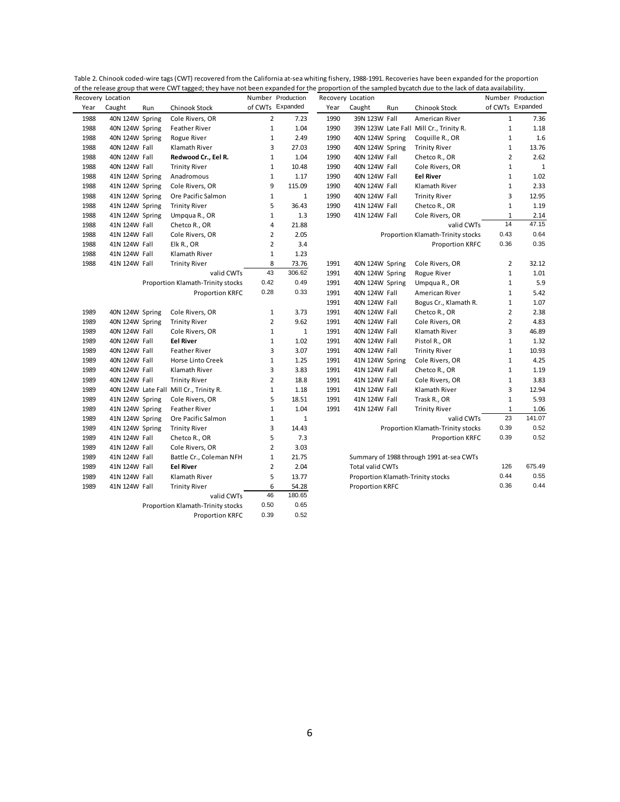| Recovery Location |                 |     | or the release group that were ever tagged, they have not been expanded for the |                         | Number Production |      | Recovery Location |     | proportion or the sampled by caten due to the lack or data availability |                | Number Production |
|-------------------|-----------------|-----|---------------------------------------------------------------------------------|-------------------------|-------------------|------|-------------------|-----|-------------------------------------------------------------------------|----------------|-------------------|
| Year              | Caught          | Run | Chinook Stock                                                                   |                         | of CWTs Expanded  | Year | Caught            | Run | Chinook Stock                                                           |                | of CWTs Expanded  |
| 1988              | 40N 124W Spring |     | Cole Rivers, OR                                                                 | $\overline{2}$          | 7.23              | 1990 | 39N 123W Fall     |     | American River                                                          | $1\,$          | 7.36              |
| 1988              | 40N 124W Spring |     | <b>Feather River</b>                                                            | $\mathbf{1}$            | 1.04              | 1990 |                   |     | 39N 123W Late Fall Mill Cr., Trinity R.                                 | $\mathbf{1}$   | 1.18              |
| 1988              | 40N 124W Spring |     | Rogue River                                                                     | $\mathbf{1}$            | 2.49              | 1990 | 40N 124W Spring   |     | Coquille R., OR                                                         | $\mathbf{1}$   | 1.6               |
| 1988              | 40N 124W Fall   |     | Klamath River                                                                   | 3                       | 27.03             | 1990 | 40N 124W Spring   |     | <b>Trinity River</b>                                                    | $\mathbf{1}$   | 13.76             |
| 1988              | 40N 124W Fall   |     | Redwood Cr., Eel R.                                                             | $\mathbf{1}$            | 1.04              | 1990 | 40N 124W Fall     |     | Chetco R., OR                                                           | $\overline{2}$ | 2.62              |
| 1988              | 40N 124W Fall   |     | <b>Trinity River</b>                                                            | $\mathbf{1}$            | 10.48             | 1990 | 40N 124W Fall     |     | Cole Rivers, OR                                                         | $\mathbf{1}$   | $\mathbf{1}$      |
| 1988              | 41N 124W Spring |     | Anadromous                                                                      | $\mathbf 1$             | 1.17              | 1990 | 40N 124W Fall     |     | <b>Eel River</b>                                                        | $1\,$          | 1.02              |
| 1988              | 41N 124W Spring |     | Cole Rivers, OR                                                                 | 9                       | 115.09            | 1990 | 40N 124W Fall     |     | Klamath River                                                           | $1\,$          | 2.33              |
| 1988              | 41N 124W Spring |     | Ore Pacific Salmon                                                              | $\mathbf{1}$            | 1                 | 1990 | 40N 124W Fall     |     | <b>Trinity River</b>                                                    | 3              | 12.95             |
| 1988              | 41N 124W Spring |     | <b>Trinity River</b>                                                            | 5                       | 36.43             | 1990 | 41N 124W Fall     |     | Chetco R., OR                                                           | $1\,$          | 1.19              |
| 1988              | 41N 124W Spring |     | Umpqua R., OR                                                                   | $\mathbf{1}$            | 1.3               | 1990 | 41N 124W Fall     |     | Cole Rivers, OR                                                         | $\mathbf{1}$   | 2.14              |
| 1988              | 41N 124W Fall   |     | Chetco R., OR                                                                   | 4                       | 21.88             |      |                   |     | valid CWTs                                                              | 14             | 47.15             |
| 1988              | 41N 124W Fall   |     | Cole Rivers, OR                                                                 | $\overline{2}$          | 2.05              |      |                   |     | Proportion Klamath-Trinity stocks                                       | 0.43           | 0.64              |
| 1988              | 41N 124W Fall   |     | Elk R., OR                                                                      | $\overline{2}$          | 3.4               |      |                   |     | Proportion KRFC                                                         | 0.36           | 0.35              |
| 1988              | 41N 124W Fall   |     | Klamath River                                                                   | 1                       | 1.23              |      |                   |     |                                                                         |                |                   |
| 1988              | 41N 124W Fall   |     | <b>Trinity River</b>                                                            | 8                       | 73.76             | 1991 | 40N 124W Spring   |     | Cole Rivers, OR                                                         | $\overline{2}$ | 32.12             |
|                   |                 |     | valid CWTs                                                                      | 43                      | 306.62            | 1991 | 40N 124W Spring   |     | Rogue River                                                             | $1\,$          | 1.01              |
|                   |                 |     | Proportion Klamath-Trinity stocks                                               | 0.42                    | 0.49              | 1991 | 40N 124W Spring   |     | Umpqua R., OR                                                           | $\mathbf{1}$   | 5.9               |
|                   |                 |     | Proportion KRFC                                                                 | 0.28                    | 0.33              | 1991 | 40N 124W Fall     |     | American River                                                          | $\mathbf{1}$   | 5.42              |
|                   |                 |     |                                                                                 |                         |                   | 1991 | 40N 124W Fall     |     | Bogus Cr., Klamath R.                                                   | $\mathbf{1}$   | 1.07              |
| 1989              | 40N 124W Spring |     | Cole Rivers, OR                                                                 | $1\,$                   | 3.73              | 1991 | 40N 124W Fall     |     | Chetco R., OR                                                           | 2              | 2.38              |
| 1989              | 40N 124W Spring |     | <b>Trinity River</b>                                                            | $\overline{2}$          | 9.62              | 1991 | 40N 124W Fall     |     | Cole Rivers, OR                                                         | $\overline{2}$ | 4.83              |
| 1989              | 40N 124W Fall   |     | Cole Rivers, OR                                                                 | $\mathbf{1}$            | $\mathbf{1}$      | 1991 | 40N 124W Fall     |     | Klamath River                                                           | 3              | 46.89             |
| 1989              | 40N 124W Fall   |     | <b>Eel River</b>                                                                | $\mathbf{1}$            | 1.02              | 1991 | 40N 124W Fall     |     | Pistol R., OR                                                           | $\mathbf{1}$   | 1.32              |
| 1989              | 40N 124W Fall   |     | <b>Feather River</b>                                                            | 3                       | 3.07              | 1991 | 40N 124W Fall     |     | <b>Trinity River</b>                                                    | $\mathbf{1}$   | 10.93             |
| 1989              | 40N 124W Fall   |     | Horse Linto Creek                                                               | $\mathbf{1}$            | 1.25              | 1991 | 41N 124W Spring   |     | Cole Rivers, OR                                                         | $\mathbf{1}$   | 4.25              |
| 1989              | 40N 124W Fall   |     | Klamath River                                                                   | 3                       | 3.83              | 1991 | 41N 124W Fall     |     | Chetco R., OR                                                           | $\mathbf{1}$   | 1.19              |
| 1989              | 40N 124W Fall   |     | <b>Trinity River</b>                                                            | $\overline{2}$          | 18.8              | 1991 | 41N 124W Fall     |     | Cole Rivers, OR                                                         | $1\,$          | 3.83              |
| 1989              |                 |     | 40N 124W Late Fall Mill Cr., Trinity R.                                         | $\mathbf{1}$            | 1.18              | 1991 | 41N 124W Fall     |     | Klamath River                                                           | 3              | 12.94             |
| 1989              | 41N 124W Spring |     | Cole Rivers, OR                                                                 | 5                       | 18.51             | 1991 | 41N 124W Fall     |     | Trask R., OR                                                            | $\mathbf{1}$   | 5.93              |
| 1989              | 41N 124W Spring |     | <b>Feather River</b>                                                            | $\mathbf{1}$            | 1.04              | 1991 | 41N 124W Fall     |     | <b>Trinity River</b>                                                    | $\mathbf{1}$   | 1.06              |
| 1989              | 41N 124W Spring |     | Ore Pacific Salmon                                                              | $\mathbf{1}$            | $\mathbf{1}$      |      |                   |     | valid CWTs                                                              | 23             | 141.07            |
| 1989              | 41N 124W Spring |     | <b>Trinity River</b>                                                            | 3                       | 14.43             |      |                   |     | Proportion Klamath-Trinity stocks                                       | 0.39           | 0.52              |
| 1989              | 41N 124W Fall   |     | Chetco R., OR                                                                   | 5                       | 7.3               |      |                   |     | Proportion KRFC                                                         | 0.39           | 0.52              |
| 1989              | 41N 124W Fall   |     | Cole Rivers, OR                                                                 | $\overline{2}$          | 3.03              |      |                   |     |                                                                         |                |                   |
| 1989              | 41N 124W Fall   |     | Battle Cr., Coleman NFH                                                         | $\mathbf{1}$            | 21.75             |      |                   |     | Summary of 1988 through 1991 at-sea CWTs                                |                |                   |
| 1989              | 41N 124W Fall   |     | <b>Eel River</b>                                                                | $\overline{\mathbf{c}}$ | 2.04              |      | Total valid CWTs  |     |                                                                         | 126            | 675.49            |
| 1989              | 41N 124W Fall   |     | Klamath River                                                                   | 5                       | 13.77             |      |                   |     | Proportion Klamath-Trinity stocks                                       | 0.44           | 0.55              |
| 1989              | 41N 124W Fall   |     | <b>Trinity River</b>                                                            | 6                       | 54.28             |      | Proportion KRFC   |     |                                                                         | 0.36           | 0.44              |
|                   |                 |     | valid CWTs                                                                      | 46                      | 180.65            |      |                   |     |                                                                         |                |                   |
|                   |                 |     | Proportion Klamath-Trinity stocks                                               | 0.50                    | 0.65              |      |                   |     |                                                                         |                |                   |
|                   |                 |     | <b>Proportion KRFC</b>                                                          | 0.39                    | 0.52              |      |                   |     |                                                                         |                |                   |

Table 2. Chinook coded‐wire tags (CWT) recovered from the California at‐sea whiting fishery, 1988‐1991. Recoveries have been expanded for the proportion of the release group that were CWT tagged; they have not been expanded for the proportion of the sampled bycatch due to the lack of data availability.